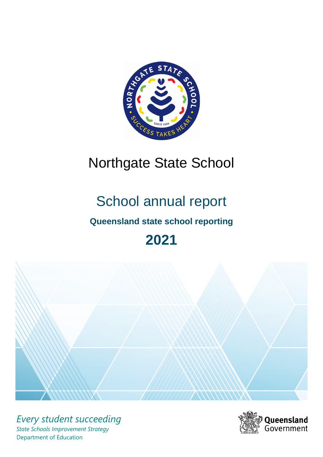

# Northgate State School

# School annual report

# **Queensland state school reporting**

# **2021**



*Every student succeeding State Schools Improvement Strategy* Department of Education

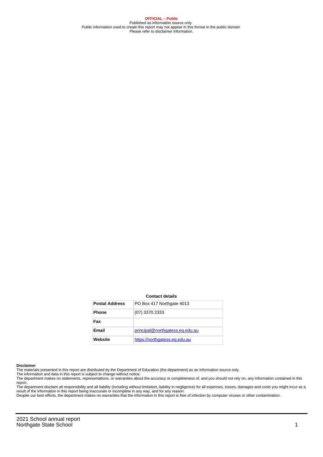**OFFICIAL – Public** Published as information source only. Public information used to create this report may not appear in this format in the public domain Please refer to disclaimer information.

#### **Contact details**

| <b>Postal Address</b> | PO Box 417 Northgate 4013       |
|-----------------------|---------------------------------|
| <b>Phone</b>          | (07) 3370 2333                  |
| Fax                   |                                 |
| Email                 | principal@northgatess.eg.edu.au |
| Website               | https://northgatess.eg.edu.au   |

#### **Disclaimer**

The materials presented in this report are distributed by the Department of Education (the department) as an information source only.

The information and data in this report is subject to change without notice.<br>The department makes no statements, representations, or warranties about the accuracy or completeness of, and you should not rely on, any informa report. The department disclaim all responsibility and all liability (including without limitation, liability in negligence) for all expenses, losses, damages and costs you might incur as a

result of the information in this report being inaccurate or incomplete in any way, and for any reason.

Despite our best efforts, the department makes no warranties that the information in this report is free of infection by computer viruses or other contamination.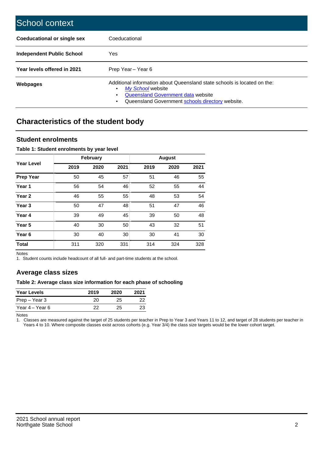| School context                   |                                                                                                                                                                                              |
|----------------------------------|----------------------------------------------------------------------------------------------------------------------------------------------------------------------------------------------|
| Coeducational or single sex      | Coeducational                                                                                                                                                                                |
| <b>Independent Public School</b> | <b>Yes</b>                                                                                                                                                                                   |
| Year levels offered in 2021      | Prep Year - Year 6                                                                                                                                                                           |
| Webpages                         | Additional information about Queensland state schools is located on the:<br>My School website<br>Queensland Government data website<br>Queensland Government schools directory website.<br>٠ |

# **Characteristics of the student body**

### **Student enrolments**

#### **Table 1: Student enrolments by year level**

|                   |      | <b>February</b> |      |      | <b>August</b> |      |
|-------------------|------|-----------------|------|------|---------------|------|
| <b>Year Level</b> | 2019 | 2020            | 2021 | 2019 | 2020          | 2021 |
| <b>Prep Year</b>  | 50   | 45              | 57   | 51   | 46            | 55   |
| Year 1            | 56   | 54              | 46   | 52   | 55            | 44   |
| Year 2            | 46   | 55              | 55   | 48   | 53            | 54   |
| Year <sub>3</sub> | 50   | 47              | 48   | 51   | 47            | 46   |
| Year 4            | 39   | 49              | 45   | 39   | 50            | 48   |
| Year <sub>5</sub> | 40   | 30              | 50   | 43   | 32            | 51   |
| Year <sub>6</sub> | 30   | 40              | 30   | 30   | 41            | 30   |
| <b>Total</b>      | 311  | 320             | 331  | 314  | 324           | 328  |

Notes

1. Student counts include headcount of all full- and part-time students at the school.

## **Average class sizes**

#### **Table 2: Average class size information for each phase of schooling**

| <b>Year Levels</b> | 2019 | 2020 | 2021 |
|--------------------|------|------|------|
| Prep – Year 3      | 20.  | 25   | 22   |
| Year 4 – Year 6    | つつ   | 25   | 23   |

Notes

1. Classes are measured against the target of 25 students per teacher in Prep to Year 3 and Years 11 to 12, and target of 28 students per teacher in Years 4 to 10. Where composite classes exist across cohorts (e.g. Year 3/4) the class size targets would be the lower cohort target.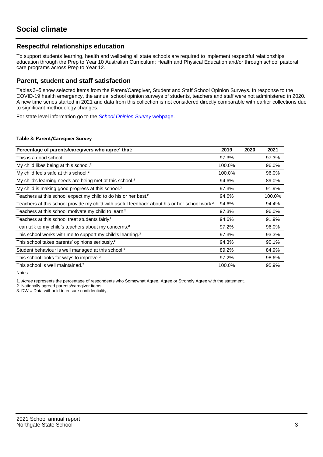## **Respectful relationships education**

To support students' learning, health and wellbeing all state schools are required to implement respectful relationships education through the Prep to Year 10 Australian Curriculum: Health and Physical Education and/or through school pastoral care programs across Prep to Year 12.

### **Parent, student and staff satisfaction**

Tables 3–5 show selected items from the Parent/Caregiver, Student and Staff School Opinion Surveys. In response to the COVID-19 health emergency, the annual school opinion surveys of students, teachers and staff were not administered in 2020. A new time series started in 2021 and data from this collection is not considered directly comparable with earlier collections due to significant methodology changes.

For state level information go to the **[School Opinion Survey](https://qed.qld.gov.au/publications/reports/statistics/schooling/schools/schoolopinionsurvey) webpage**.

#### **Table 3: Parent/Caregiver Survey**

| Percentage of parents/caregivers who agree <sup>1</sup> that:                                            | 2019   | 2020 | 2021   |
|----------------------------------------------------------------------------------------------------------|--------|------|--------|
| This is a good school.                                                                                   | 97.3%  |      | 97.3%  |
| My child likes being at this school. <sup>2</sup>                                                        | 100.0% |      | 96.0%  |
| My child feels safe at this school. <sup>2</sup>                                                         | 100.0% |      | 96.0%  |
| My child's learning needs are being met at this school. <sup>2</sup>                                     | 94.6%  |      | 89.0%  |
| My child is making good progress at this school. <sup>2</sup>                                            | 97.3%  |      | 91.9%  |
| Teachers at this school expect my child to do his or her best. <sup>2</sup>                              | 94.6%  |      | 100.0% |
| Teachers at this school provide my child with useful feedback about his or her school work. <sup>2</sup> | 94.6%  |      | 94.4%  |
| Teachers at this school motivate my child to learn. <sup>2</sup>                                         | 97.3%  |      | 96.0%  |
| Teachers at this school treat students fairly. <sup>2</sup>                                              | 94.6%  |      | 91.9%  |
| I can talk to my child's teachers about my concerns. <sup>2</sup>                                        | 97.2%  |      | 96.0%  |
| This school works with me to support my child's learning. <sup>2</sup>                                   | 97.3%  |      | 93.3%  |
| This school takes parents' opinions seriously. <sup>2</sup>                                              | 94.3%  |      | 90.1%  |
| Student behaviour is well managed at this school. <sup>2</sup>                                           | 89.2%  |      | 84.9%  |
| This school looks for ways to improve. <sup>2</sup>                                                      | 97.2%  |      | 98.6%  |
| This school is well maintained. <sup>2</sup>                                                             | 100.0% |      | 95.9%  |

Notes

1. Agree represents the percentage of respondents who Somewhat Agree, Agree or Strongly Agree with the statement.

2. Nationally agreed parents/caregiver items.

3. DW = Data withheld to ensure confidentiality.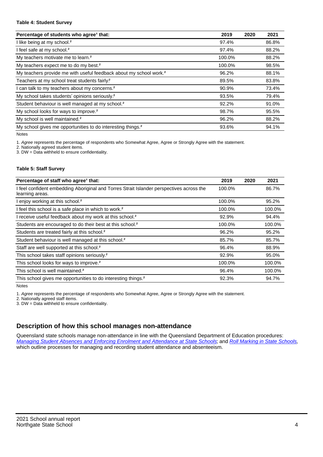#### **Table 4: Student Survey**

| Percentage of students who agree <sup>1</sup> that:                            | 2019   | 2020 | 2021  |
|--------------------------------------------------------------------------------|--------|------|-------|
| I like being at my school. <sup>2</sup>                                        | 97.4%  |      | 86.8% |
| I feel safe at my school. <sup>2</sup>                                         | 97.4%  |      | 88.2% |
| My teachers motivate me to learn. <sup>2</sup>                                 | 100.0% |      | 88.2% |
| My teachers expect me to do my best. <sup>2</sup>                              | 100.0% |      | 98.5% |
| My teachers provide me with useful feedback about my school work. <sup>2</sup> | 96.2%  |      | 88.1% |
| Teachers at my school treat students fairly?                                   | 89.5%  |      | 83.8% |
| I can talk to my teachers about my concerns. <sup>2</sup>                      | 90.9%  |      | 73.4% |
| My school takes students' opinions seriously. <sup>2</sup>                     | 93.5%  |      | 79.4% |
| Student behaviour is well managed at my school. <sup>2</sup>                   | 92.2%  |      | 91.0% |
| My school looks for ways to improve. <sup>2</sup>                              | 98.7%  |      | 95.5% |
| My school is well maintained. <sup>2</sup>                                     | 96.2%  |      | 88.2% |
| My school gives me opportunities to do interesting things. <sup>2</sup>        | 93.6%  |      | 94.1% |

Notes

1. Agree represents the percentage of respondents who Somewhat Agree, Agree or Strongly Agree with the statement.

2. Nationally agreed student items.

3. DW = Data withheld to ensure confidentiality.

#### **Table 5: Staff Survey**

| Percentage of staff who agree <sup>1</sup> that:                                                            | 2019   | 2020 | 2021   |
|-------------------------------------------------------------------------------------------------------------|--------|------|--------|
| I feel confident embedding Aboriginal and Torres Strait Islander perspectives across the<br>learning areas. | 100.0% |      | 86.7%  |
| I enjoy working at this school. <sup>2</sup>                                                                | 100.0% |      | 95.2%  |
| I feel this school is a safe place in which to work. <sup>2</sup>                                           | 100.0% |      | 100.0% |
| I receive useful feedback about my work at this school. <sup>2</sup>                                        | 92.9%  |      | 94.4%  |
| Students are encouraged to do their best at this school. <sup>2</sup>                                       | 100.0% |      | 100.0% |
| Students are treated fairly at this school. <sup>2</sup>                                                    | 96.2%  |      | 95.2%  |
| Student behaviour is well managed at this school. <sup>2</sup>                                              | 85.7%  |      | 85.7%  |
| Staff are well supported at this school. <sup>2</sup>                                                       | 96.4%  |      | 88.9%  |
| This school takes staff opinions seriously. <sup>2</sup>                                                    | 92.9%  |      | 95.0%  |
| This school looks for ways to improve. <sup>2</sup>                                                         | 100.0% |      | 100.0% |
| This school is well maintained. <sup>2</sup>                                                                | 96.4%  |      | 100.0% |
| This school gives me opportunities to do interesting things. <sup>2</sup>                                   | 92.3%  |      | 94.7%  |

Notes

1. Agree represents the percentage of respondents who Somewhat Agree, Agree or Strongly Agree with the statement.

2. Nationally agreed staff items.

3. DW = Data withheld to ensure confidentiality.

## **Description of how this school manages non-attendance**

Queensland state schools manage non-attendance in line with the Queensland Department of Education procedures: [Managing Student Absences and Enforcing Enrolment and Attendance at State Schools](https://ppr.qed.qld.gov.au/pp/managing-student-absences-and-enforcing-enrolment-and-attendance-at-state-schools-procedure); and [Roll Marking in State Schools](https://ppr.qed.qld.gov.au/pp/roll-marking-in-state-schools-procedure), which outline processes for managing and recording student attendance and absenteeism.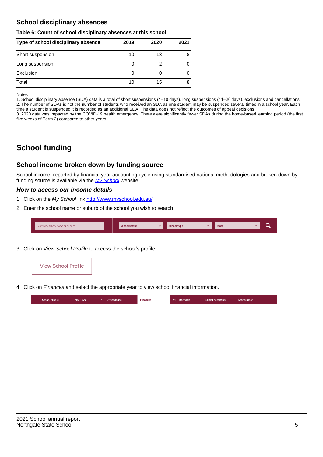## **School disciplinary absences**

#### **Table 6: Count of school disciplinary absences at this school**

| Type of school disciplinary absence | 2019 | 2020 | 2021 |
|-------------------------------------|------|------|------|
| Short suspension                    | 10   | 13   | 8    |
| Long suspension                     | U    |      |      |
| Exclusion                           | U    |      |      |
| Total                               | 10   | 15   | 8    |

Notes

1. School disciplinary absence (SDA) data is a total of short suspensions (1–10 days), long suspensions (11–20 days), exclusions and cancellations. 2. The number of SDAs is not the number of students who received an SDA as one student may be suspended several times in a school year. Each time a student is suspended it is recorded as an additional SDA. The data does not reflect the outcomes of appeal decisions.

3. 2020 data was impacted by the COVID-19 health emergency. There were significantly fewer SDAs during the home-based learning period (the first five weeks of Term 2) compared to other years.

# **School funding**

### **School income broken down by funding source**

School income, reported by financial year accounting cycle using standardised national methodologies and broken down by funding source is available via the  $My$  School website.

#### **How to access our income details**

- 1. Click on the My School link [http://www.myschool.edu.au/.](http://www.myschool.edu.au/)
- 2. Enter the school name or suburb of the school you wish to search.

| Search by school name or suburb | <b>School sector</b> | school type | <b>State</b> |  |
|---------------------------------|----------------------|-------------|--------------|--|
|                                 |                      |             |              |  |

3. Click on View School Profile to access the school's profile.



4. Click on Finances and select the appropriate year to view school financial information.

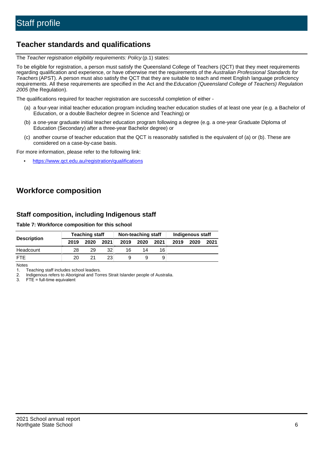# **Teacher standards and qualifications**

The Teacher registration eligibility requirements: Policy (p.1) states:

To be eligible for registration, a person must satisfy the Queensland College of Teachers (QCT) that they meet requirements regarding qualification and experience, or have otherwise met the requirements of the Australian Professional Standards for Teachers (APST). A person must also satisfy the QCT that they are suitable to teach and meet English language proficiency requirements. All these requirements are specified in the Act and the Education (Queensland College of Teachers) Regulation 2005 (the Regulation).

The qualifications required for teacher registration are successful completion of either -

- (a) a four-year initial teacher education program including teacher education studies of at least one year (e.g. a Bachelor of Education, or a double Bachelor degree in Science and Teaching) or
- (b) a one-year graduate initial teacher education program following a degree (e.g. a one-year Graduate Diploma of Education (Secondary) after a three-year Bachelor degree) or
- (c) another course of teacher education that the QCT is reasonably satisfied is the equivalent of (a) or (b). These are considered on a case-by-case basis.

For more information, please refer to the following link:

• <https://www.qct.edu.au/registration/qualifications>

# **Workforce composition**

## **Staff composition, including Indigenous staff**

#### **Table 7: Workforce composition for this school**

|                    | <b>Teaching staff</b> |      |                 | Non-teaching staff |      |      | Indigenous staff |      |      |
|--------------------|-----------------------|------|-----------------|--------------------|------|------|------------------|------|------|
| <b>Description</b> | 2019                  | 2020 | 2021            | 2019               | 2020 | 2021 | 2019             | 2020 | 2021 |
| Headcount          | 28                    | 29   | 32              | 16                 | 14   | 16   |                  |      |      |
| <b>FTF</b>         | 20                    | 21   | 23 <sub>1</sub> |                    | 9    | 9    |                  |      |      |

Notes

1. Teaching staff includes school leaders.

2. Indigenous refers to Aboriginal and Torres Strait Islander people of Australia.

3. FTE = full-time equivalent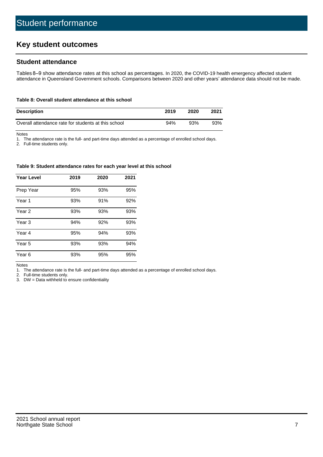# **Key student outcomes**

## **Student attendance**

Tables 8–9 show attendance rates at this school as percentages. In 2020, the COVID-19 health emergency affected student attendance in Queensland Government schools. Comparisons between 2020 and other years' attendance data should not be made.

#### **Table 8: Overall student attendance at this school**

| <b>Description</b>                                  | 2019 | 2020 | 2021 |
|-----------------------------------------------------|------|------|------|
| Overall attendance rate for students at this school | 94%  | 93%  | 93%  |

Notes

1. The attendance rate is the full- and part-time days attended as a percentage of enrolled school days.

2. Full-time students only.

#### **Table 9: Student attendance rates for each year level at this school**

| <b>Year Level</b> | 2019 | 2020 | 2021 |
|-------------------|------|------|------|
| Prep Year         | 95%  | 93%  | 95%  |
| Year <sub>1</sub> | 93%  | 91%  | 92%  |
| Year 2            | 93%  | 93%  | 93%  |
| Year <sub>3</sub> | 94%  | 92%  | 93%  |
| Year 4            | 95%  | 94%  | 93%  |
| Year 5            | 93%  | 93%  | 94%  |
| Year <sub>6</sub> | 93%  | 95%  | 95%  |

Notes

1. The attendance rate is the full- and part-time days attended as a percentage of enrolled school days.

2. Full-time students only.

3. DW = Data withheld to ensure confidentiality